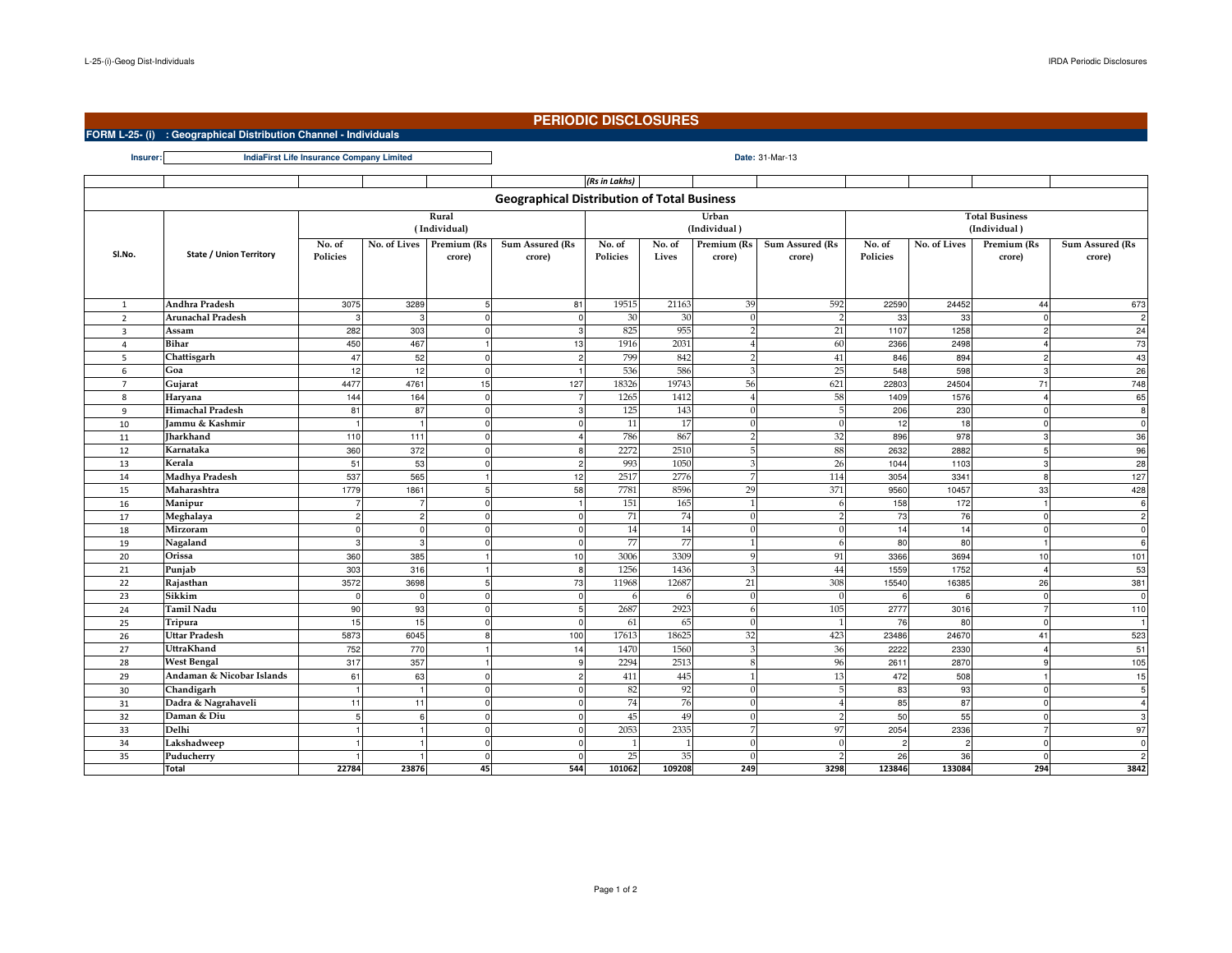**Insurer:**

## **PERIODIC DISCLOSURES**

**FORM L-25- (i) : Geographical Distribution Channel - Individuals**

**Date:** 31-Mar-13**IndiaFirst Life Insurance Company Limited**

|                                                    |                                |                |                |             |                 | (Rs in Lakhs) |        |                       |                        |                                       |              |                |                 |
|----------------------------------------------------|--------------------------------|----------------|----------------|-------------|-----------------|---------------|--------|-----------------------|------------------------|---------------------------------------|--------------|----------------|-----------------|
| <b>Geographical Distribution of Total Business</b> |                                |                |                |             |                 |               |        |                       |                        |                                       |              |                |                 |
|                                                    | Rural<br>(Individual)          |                |                |             |                 |               |        | Urban<br>(Individual) |                        | <b>Total Business</b><br>(Individual) |              |                |                 |
| Sl.No.                                             | <b>State / Union Territory</b> | No. of         | No. of Lives   | Premium (Rs | Sum Assured (Rs | No. of        | No. of | Premium (Rs           | <b>Sum Assured (Rs</b> | No. of                                | No. of Lives | Premium (Rs    | Sum Assured (Rs |
|                                                    |                                | Policies       |                | crore)      | crore)          | Policies      | Lives  | crore)                | crore)                 | Policies                              |              | crore)         | crore)          |
|                                                    |                                |                |                |             |                 |               |        |                       |                        |                                       |              |                |                 |
| $\mathbf{1}$                                       | Andhra Pradesh                 | 3075           | 3289           |             | 81              | 19515         | 21163  | 39                    | 592                    | 22590                                 | 24452        | 44             | 673             |
| $\overline{2}$                                     | <b>Arunachal Pradesh</b>       | 3              | 3              | $^{\circ}$  | $\mathbf{0}$    | 30            | 30     | $\Omega$              | $\overline{2}$         | 33                                    | 33           | $\mathbf 0$    | $\overline{c}$  |
| 3                                                  | Assam                          | 282            | 303            | $\Omega$    |                 | 825           | 955    |                       | 21                     | 1107                                  | 1258         | $\overline{2}$ | 24              |
| $\overline{4}$                                     | <b>Bihar</b>                   | 450            | 467            |             | 13              | 1916          | 2031   |                       | 60                     | 2366                                  | 2498         |                | 73              |
| 5                                                  | Chattisgarh                    | 47             | 52             | $\Omega$    | $\mathcal{P}$   | 799           | 842    |                       | 41                     | 846                                   | 894          | $\overline{2}$ | 43              |
| 6                                                  | Goa                            | 12             | 12             | $\Omega$    |                 | 536           | 586    |                       | 25                     | 548                                   | 598          | 3              | 26              |
| $\overline{7}$                                     | Gujarat                        | 4477           | 4761           | 15          | 127             | 18326         | 19743  | 56                    | 621                    | 22803                                 | 24504        | 71             | 748             |
| 8                                                  | Haryana                        | 144            | 164            | $^{\circ}$  |                 | 1265          | 1412   |                       | 58                     | 1409                                  | 1576         |                | 65              |
| 9                                                  | Himachal Pradesh               | 81             | 87             | $\Omega$    |                 | 125           | 143    |                       | 5                      | 206                                   | 230          | $\Omega$       | 8               |
| 10                                                 | Iammu & Kashmir                | $\overline{1}$ | $\overline{1}$ | $\Omega$    |                 | 11            | 17     |                       |                        | 12                                    | 18           | $\Omega$       | $\mathbf 0$     |
| 11                                                 | Jharkhand                      | 110            | 111            | $\mathbf 0$ |                 | 786           | 867    |                       | 32                     | 896                                   | 978          | 3              | 36              |
| 12                                                 | Karnataka                      | 360            | 372            | $\Omega$    |                 | 2272          | 2510   |                       | 88                     | 2632                                  | 2882         | 5              | 96              |
| 13                                                 | Kerala                         | 51             | 53             | $\Omega$    | $\circ$         | 993           | 1050   |                       | 26                     | 1044                                  | 1103         | $\mathcal{R}$  | 28              |
| 14                                                 | Madhya Pradesh                 | 537            | 565            |             | 12              | 2517          | 2776   |                       | 114                    | 3054                                  | 3341         | 8              | 127             |
| 15                                                 | Maharashtra                    | 1779           | 1861           | 5           | 58              | 7781          | 8596   | 29                    | 371                    | 9560                                  | 10457        | 33             | 428             |
| 16                                                 | Manipur                        |                |                |             |                 | 151           | 165    |                       |                        | 158                                   | 172          |                | 6               |
| 17                                                 | Meghalaya                      |                |                |             |                 | 71            | 74     |                       |                        | 73                                    | 76           |                | $\overline{2}$  |
| 18                                                 | Mirzoram                       | $\Omega$       | $\Omega$       | $\Omega$    |                 | 14            | 14     | n                     |                        | 14                                    | 14           | $\Omega$       | $\mathbf 0$     |
| 19                                                 | Nagaland                       | 3              | 3              |             |                 | 77            | 77     |                       | -6                     | 80                                    | 80           |                | 6               |
| 20                                                 | Orissa                         | 360            | 385            |             | 10              | 3006          | 3309   |                       | 91                     | 3366                                  | 3694         | 10             | 101             |
| 21                                                 | Punjab                         | 303            | 316            |             | -8              | 1256          | 1436   |                       | 44                     | 1559                                  | 1752         |                | 53              |
| 22                                                 | Rajasthan                      | 3572           | 3698           |             | 73              | 11968         | 12687  | 21                    | 308                    | 15540                                 | 16385        | 26             | 381             |
| 23                                                 | Sikkim                         | $\Omega$       | $\Omega$       |             |                 |               | 6      |                       |                        | 6                                     |              | $\Omega$       | $\mathbf 0$     |
| 24                                                 | <b>Tamil Nadu</b>              | 90             | 93             |             |                 | 2687          | 2923   |                       | 105                    | 2777                                  | 3016         |                | 110             |
| 25                                                 | Tripura                        | 15             | 15             |             |                 | 61            | 65     | ſ                     |                        | 76                                    | 80           | $\Omega$       | $\overline{1}$  |
| 26                                                 | <b>Uttar Pradesh</b>           | 5873           | 6045           | 8           | 100             | 17613         | 18625  | 32                    | 423                    | 23486                                 | 24670        | 41             | 523             |
| 27                                                 | UttraKhand                     | 752            | 770            |             | 14              | 1470          | 1560   |                       | 36                     | 2222                                  | 2330         |                | 51              |
| 28                                                 | <b>West Bengal</b>             | 317            | 357            |             | a               | 2294          | 2513   |                       | 96                     | 2611                                  | 2870         | $\mathbf{q}$   | 105             |
| 29                                                 | Andaman & Nicobar Islands      | 61             | 63             |             |                 | 411           | 445    |                       | 13                     | 472                                   | 508          |                | 15              |
| 30                                                 | Chandigarh                     | $\overline{1}$ | $\overline{1}$ | $\Omega$    |                 | 82            | 92     |                       |                        | 83                                    | 93           | $\Omega$       | 5               |
| 31                                                 | Dadra & Nagrahaveli            | 11             | 11             |             |                 | 74            | 76     |                       |                        | 85                                    | 87           | $\Omega$       | $\overline{4}$  |
| 32                                                 | Daman & Diu                    |                |                |             |                 | 45            | 49     |                       |                        | 50                                    | 55           |                | 3               |
| 33                                                 | Delhi                          |                |                | $\Omega$    |                 | 2053          | 2335   |                       | 97                     | 2054                                  | 2336         |                | 97              |
| 34                                                 | Lakshadweep                    |                |                | $\Omega$    |                 |               |        | n                     |                        | $\overline{2}$                        |              | $\Omega$       | $\mathbf 0$     |
| 35                                                 | Puducherry                     |                |                | $\Omega$    |                 | 25            | 35     |                       |                        | 26                                    | 36           | $\Omega$       | $\overline{2}$  |
|                                                    | Total                          | 22784          | 23876          | 45          | 544             | 101062        | 109208 | 249                   | 3298                   | 123846                                | 133084       | 294            | 3842            |